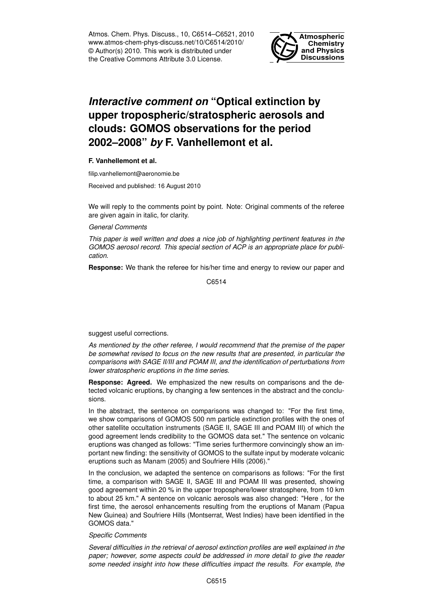Atmos. Chem. Phys. Discuss., 10, C6514–C6521, 2010 www.atmos-chem-phys-discuss.net/10/C6514/2010/ © Author(s) 2010. This work is distributed under the Creative Commons Attribute 3.0 License.



## *Interactive comment on* **"Optical extinction by upper tropospheric/stratospheric aerosols and clouds: GOMOS observations for the period 2002–2008"** *by* **F. Vanhellemont et al.**

## **F. Vanhellemont et al.**

filip.vanhellemont@aeronomie.be

Received and published: 16 August 2010

We will reply to the comments point by point. Note: Original comments of the referee are given again in italic, for clarity.

*General Comments*

*This paper is well written and does a nice job of highlighting pertinent features in the GOMOS aerosol record. This special section of ACP is an appropriate place for publication.*

**Response:** We thank the referee for his/her time and energy to review our paper and

C6514

suggest useful corrections.

*As mentioned by the other referee, I would recommend that the premise of the paper be somewhat revised to focus on the new results that are presented, in particular the comparisons with SAGE II/III and POAM III, and the identification of perturbations from lower stratospheric eruptions in the time series.*

**Response: Agreed.** We emphasized the new results on comparisons and the detected volcanic eruptions, by changing a few sentences in the abstract and the conclusions.

In the abstract, the sentence on comparisons was changed to: "For the first time, we show comparisons of GOMOS 500 nm particle extinction profiles with the ones of other satellite occultation instruments (SAGE II, SAGE III and POAM III) of which the good agreement lends credibility to the GOMOS data set." The sentence on volcanic eruptions was changed as follows: "Time series furthermore convincingly show an important new finding: the sensitivity of GOMOS to the sulfate input by moderate volcanic eruptions such as Manam (2005) and Soufriere Hills (2006)."

In the conclusion, we adapted the sentence on comparisons as follows: "For the first time, a comparison with SAGE II, SAGE III and POAM III was presented, showing good agreement within 20 % in the upper troposphere/lower stratosphere, from 10 km to about 25 km." A sentence on volcanic aerosols was also changed: "Here , for the first time, the aerosol enhancements resulting from the eruptions of Manam (Papua New Guinea) and Soufriere Hills (Montserrat, West Indies) have been identified in the GOMOS data."

## *Specific Comments*

*Several difficulties in the retrieval of aerosol extinction profiles are well explained in the paper; however, some aspects could be addressed in more detail to give the reader some needed insight into how these difficulties impact the results. For example, the*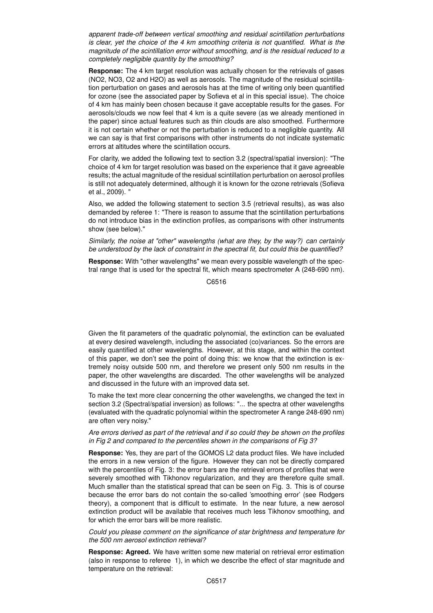*apparent trade-off between vertical smoothing and residual scintillation perturbations is clear, yet the choice of the 4 km smoothing criteria is not quantified. What is the magnitude of the scintillation error without smoothing, and is the residual reduced to a completely negligible quantity by the smoothing?*

**Response:** The 4 km target resolution was actually chosen for the retrievals of gases (NO2, NO3, O2 and H2O) as well as aerosols. The magnitude of the residual scintillation perturbation on gases and aerosols has at the time of writing only been quantified for ozone (see the associated paper by Sofieva et al in this special issue). The choice of 4 km has mainly been chosen because it gave acceptable results for the gases. For aerosols/clouds we now feel that 4 km is a quite severe (as we already mentioned in the paper) since actual features such as thin clouds are also smoothed. Furthermore it is not certain whether or not the perturbation is reduced to a negligible quantity. All we can say is that first comparisons with other instruments do not indicate systematic errors at altitudes where the scintillation occurs.

For clarity, we added the following text to section 3.2 (spectral/spatial inversion): "The choice of 4 km for target resolution was based on the experience that it gave agreeable results; the actual magnitude of the residual scintillation perturbation on aerosol profiles is still not adequately determined, although it is known for the ozone retrievals (Sofieva et al., 2009). "

Also, we added the following statement to section 3.5 (retrieval results), as was also demanded by referee 1: "There is reason to assume that the scintillation perturbations do not introduce bias in the extinction profiles, as comparisons with other instruments show (see below)."

*Similarly, the noise at "other" wavelengths (what are they, by the way?) can certainly be understood by the lack of constraint in the spectral fit, but could this be quantified?*

**Response:** With "other wavelengths" we mean every possible wavelength of the spectral range that is used for the spectral fit, which means spectrometer A (248-690 nm).

C6516

Given the fit parameters of the quadratic polynomial, the extinction can be evaluated at every desired wavelength, including the associated (co)variances. So the errors are easily quantified at other wavelengths. However, at this stage, and within the context of this paper, we don't see the point of doing this: we know that the extinction is extremely noisy outside 500 nm, and therefore we present only 500 nm results in the paper, the other wavelengths are discarded. The other wavelengths will be analyzed and discussed in the future with an improved data set.

To make the text more clear concerning the other wavelengths, we changed the text in section 3.2 (Spectral/spatial inversion) as follows: "... the spectra at other wavelengths (evaluated with the quadratic polynomial within the spectrometer A range 248-690 nm) are often very noisy."

## *Are errors derived as part of the retrieval and if so could they be shown on the profiles in Fig 2 and compared to the percentiles shown in the comparisons of Fig 3?*

**Response:** Yes, they are part of the GOMOS L2 data product files. We have included the errors in a new version of the figure. However they can not be directly compared with the percentiles of Fig. 3: the error bars are the retrieval errors of profiles that were severely smoothed with Tikhonov regularization, and they are therefore quite small. Much smaller than the statistical spread that can be seen on Fig. 3. This is of course because the error bars do not contain the so-called 'smoothing error' (see Rodgers theory), a component that is difficult to estimate. In the near future, a new aerosol extinction product will be available that receives much less Tikhonov smoothing, and for which the error bars will be more realistic.

*Could you please comment on the significance of star brightness and temperature for the 500 nm aerosol extinction retrieval?*

**Response: Agreed.** We have written some new material on retrieval error estimation (also in response to referee 1), in which we describe the effect of star magnitude and temperature on the retrieval: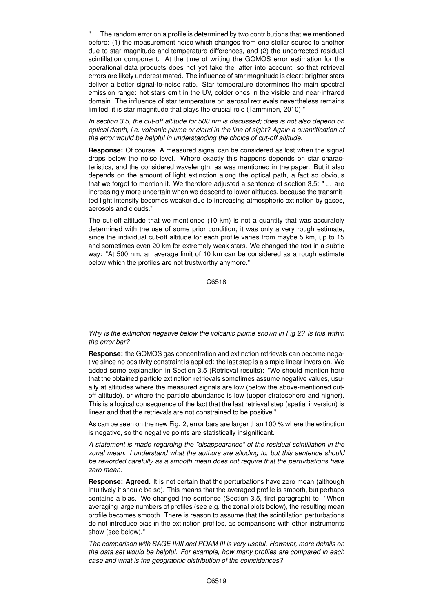" ... The random error on a profile is determined by two contributions that we mentioned before: (1) the measurement noise which changes from one stellar source to another due to star magnitude and temperature differences, and (2) the uncorrected residual scintillation component. At the time of writing the GOMOS error estimation for the operational data products does not yet take the latter into account, so that retrieval errors are likely underestimated. The influence of star magnitude is clear: brighter stars deliver a better signal-to-noise ratio. Star temperature determines the main spectral emission range: hot stars emit in the UV, colder ones in the visible and near-infrared domain. The influence of star temperature on aerosol retrievals nevertheless remains limited; it is star magnitude that plays the crucial role (Tamminen, 2010) "

*In section 3.5, the cut-off altitude for 500 nm is discussed; does is not also depend on optical depth, i.e. volcanic plume or cloud in the line of sight? Again a quantification of the error would be helpful in understanding the choice of cut-off altitude.*

**Response:** Of course. A measured signal can be considered as lost when the signal drops below the noise level. Where exactly this happens depends on star characteristics, and the considered wavelength, as was mentioned in the paper. But it also depends on the amount of light extinction along the optical path, a fact so obvious that we forgot to mention it. We therefore adjusted a sentence of section 3.5: " ... are increasingly more uncertain when we descend to lower altitudes, because the transmitted light intensity becomes weaker due to increasing atmospheric extinction by gases, aerosols and clouds."

The cut-off altitude that we mentioned (10 km) is not a quantity that was accurately determined with the use of some prior condition; it was only a very rough estimate, since the individual cut-off altitude for each profile varies from maybe 5 km, up to 15 and sometimes even 20 km for extremely weak stars. We changed the text in a subtle way: "At 500 nm, an average limit of 10 km can be considered as a rough estimate below which the profiles are not trustworthy anymore."

C6518

*Why is the extinction negative below the volcanic plume shown in Fig 2? Is this within the error bar?*

**Response:** the GOMOS gas concentration and extinction retrievals can become negative since no positivity constraint is applied: the last step is a simple linear inversion. We added some explanation in Section 3.5 (Retrieval results): "We should mention here that the obtained particle extinction retrievals sometimes assume negative values, usually at altitudes where the measured signals are low (below the above-mentioned cutoff altitude), or where the particle abundance is low (upper stratosphere and higher). This is a logical consequence of the fact that the last retrieval step (spatial inversion) is linear and that the retrievals are not constrained to be positive."

As can be seen on the new Fig. 2, error bars are larger than 100 % where the extinction is negative, so the negative points are statistically insignificant.

*A statement is made regarding the "disappearance" of the residual scintillation in the zonal mean. I understand what the authors are alluding to, but this sentence should be reworded carefully as a smooth mean does not require that the perturbations have zero mean.*

**Response: Agreed.** It is not certain that the perturbations have zero mean (although intuitively it should be so). This means that the averaged profile is smooth, but perhaps contains a bias. We changed the sentence (Section 3.5, first paragraph) to: "When averaging large numbers of profiles (see e.g. the zonal plots below), the resulting mean profile becomes smooth. There is reason to assume that the scintillation perturbations do not introduce bias in the extinction profiles, as comparisons with other instruments show (see below)."

*The comparison with SAGE II/III and POAM III is very useful. However, more details on the data set would be helpful. For example, how many profiles are compared in each case and what is the geographic distribution of the coincidences?*